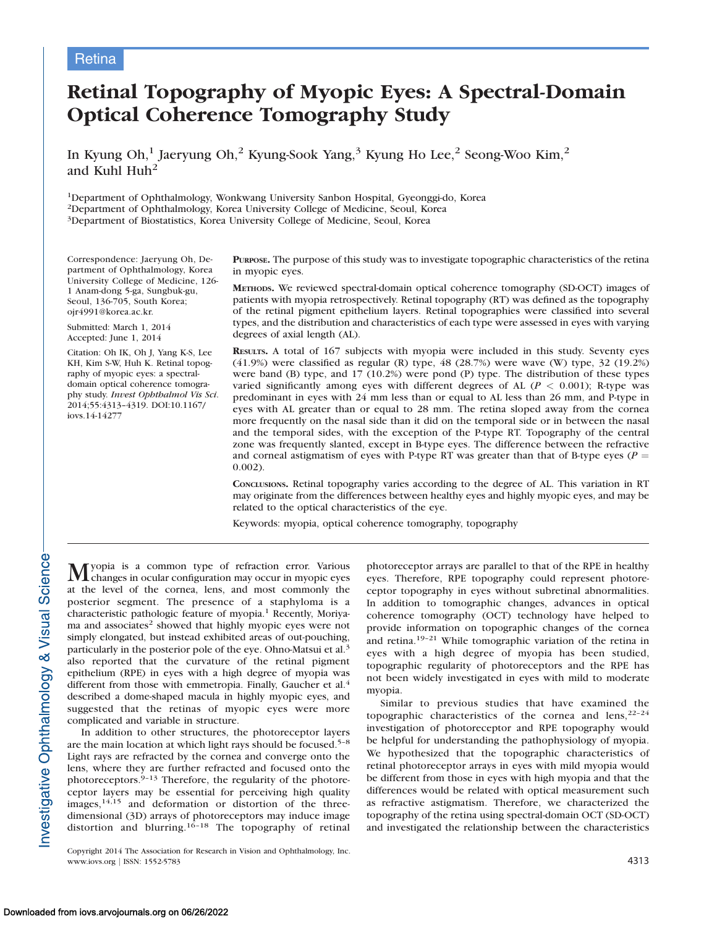## **Retina**

# Retinal Topography of Myopic Eyes: A Spectral-Domain Optical Coherence Tomography Study

In Kyung Oh,<sup>1</sup> Jaeryung Oh,<sup>2</sup> Kyung-Sook Yang,<sup>3</sup> Kyung Ho Lee,<sup>2</sup> Seong-Woo Kim,<sup>2</sup> and Kuhl Huh<sup>2</sup>

1Department of Ophthalmology, Wonkwang University Sanbon Hospital, Gyeonggi-do, Korea 2Department of Ophthalmology, Korea University College of Medicine, Seoul, Korea 3Department of Biostatistics, Korea University College of Medicine, Seoul, Korea

Correspondence: Jaeryung Oh, Department of Ophthalmology, Korea University College of Medicine, 126- 1 Anam-dong 5-ga, Sungbuk-gu, Seoul, 136-705, South Korea; ojr4991@korea.ac.kr.

Submitted: March 1, 2014 Accepted: June 1, 2014

Citation: Oh IK, Oh J, Yang K-S, Lee KH, Kim S-W, Huh K. Retinal topography of myopic eyes: a spectraldomain optical coherence tomography study. Invest Ophthalmol Vis Sci. 2014;55:4313–4319. DOI:10.1167/ iovs.14-14277

PURPOSE. The purpose of this study was to investigate topographic characteristics of the retina in myopic eyes.

METHODS. We reviewed spectral-domain optical coherence tomography (SD-OCT) images of patients with myopia retrospectively. Retinal topography (RT) was defined as the topography of the retinal pigment epithelium layers. Retinal topographies were classified into several types, and the distribution and characteristics of each type were assessed in eyes with varying degrees of axial length (AL).

RESULTS. A total of 167 subjects with myopia were included in this study. Seventy eyes (41.9%) were classified as regular (R) type, 48 (28.7%) were wave (W) type, 32 (19.2%) were band (B) type, and 17 (10.2%) were pond (P) type. The distribution of these types varied significantly among eyes with different degrees of AL ( $P < 0.001$ ); R-type was predominant in eyes with 24 mm less than or equal to AL less than 26 mm, and P-type in eyes with AL greater than or equal to 28 mm. The retina sloped away from the cornea more frequently on the nasal side than it did on the temporal side or in between the nasal and the temporal sides, with the exception of the P-type RT. Topography of the central zone was frequently slanted, except in B-type eyes. The difference between the refractive and corneal astigmatism of eyes with P-type RT was greater than that of B-type eyes ( $P =$ 0.002).

CONCLUSIONS. Retinal topography varies according to the degree of AL. This variation in RT may originate from the differences between healthy eyes and highly myopic eyes, and may be related to the optical characteristics of the eye.

Keywords: myopia, optical coherence tomography, topography

 $\mathbf M$ yopia is a common type of refraction error. Various changes in ocular configuration may occur in myopic eyes at the level of the cornea, lens, and most commonly the posterior segment. The presence of a staphyloma is a characteristic pathologic feature of myopia.<sup>1</sup> Recently, Moriyama and associates<sup>2</sup> showed that highly myopic eyes were not simply elongated, but instead exhibited areas of out-pouching, particularly in the posterior pole of the eye. Ohno-Matsui et al.<sup>3</sup> also reported that the curvature of the retinal pigment epithelium (RPE) in eyes with a high degree of myopia was different from those with emmetropia. Finally, Gaucher et al.<sup>4</sup> described a dome-shaped macula in highly myopic eyes, and suggested that the retinas of myopic eyes were more complicated and variable in structure.

In addition to other structures, the photoreceptor layers are the main location at which light rays should be focused.5–8 Light rays are refracted by the cornea and converge onto the lens, where they are further refracted and focused onto the photoreceptors. $9-13$  Therefore, the regularity of the photoreceptor layers may be essential for perceiving high quality images,14,15 and deformation or distortion of the threedimensional (3D) arrays of photoreceptors may induce image distortion and blurring.<sup>16-18</sup> The topography of retinal

Copyright 2014 The Association for Research in Vision and Ophthalmology, Inc. www.iovs.org | ISSN: 1552-5783 4313

photoreceptor arrays are parallel to that of the RPE in healthy eyes. Therefore, RPE topography could represent photoreceptor topography in eyes without subretinal abnormalities. In addition to tomographic changes, advances in optical coherence tomography (OCT) technology have helped to provide information on topographic changes of the cornea and retina.19–21 While tomographic variation of the retina in eyes with a high degree of myopia has been studied, topographic regularity of photoreceptors and the RPE has not been widely investigated in eyes with mild to moderate myopia.

Similar to previous studies that have examined the topographic characteristics of the cornea and  $lens$ ,  $22-24$ investigation of photoreceptor and RPE topography would be helpful for understanding the pathophysiology of myopia. We hypothesized that the topographic characteristics of retinal photoreceptor arrays in eyes with mild myopia would be different from those in eyes with high myopia and that the differences would be related with optical measurement such as refractive astigmatism. Therefore, we characterized the topography of the retina using spectral-domain OCT (SD-OCT) and investigated the relationship between the characteristics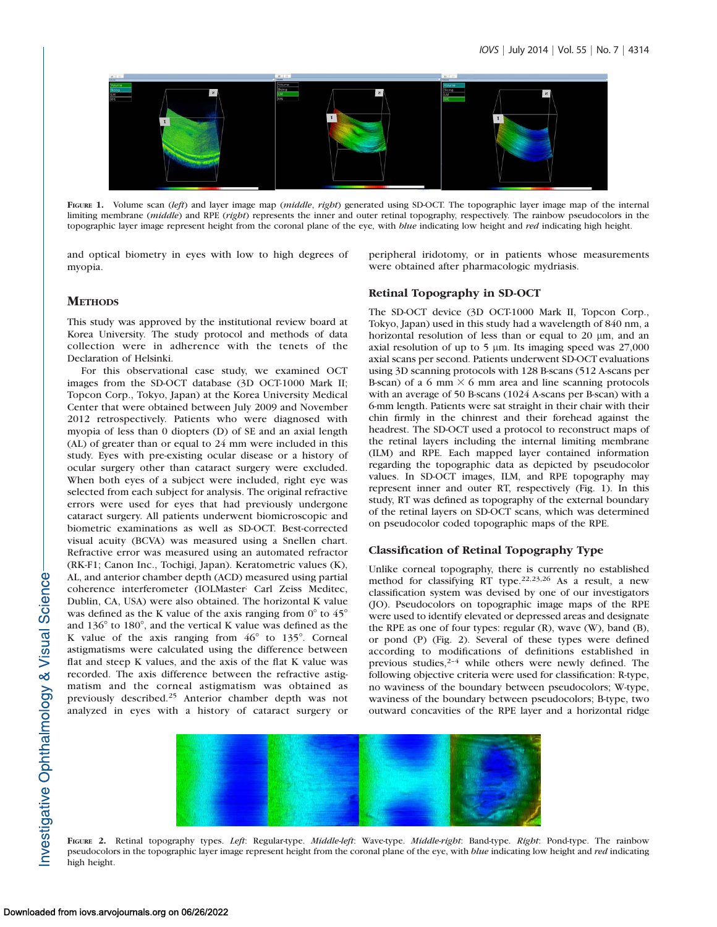

FIGURE 1. Volume scan (left) and layer image map (middle, right) generated using SD-OCT. The topographic layer image map of the internal limiting membrane (middle) and RPE (right) represents the inner and outer retinal topography, respectively. The rainbow pseudocolors in the topographic layer image represent height from the coronal plane of the eye, with blue indicating low height and red indicating high height.

and optical biometry in eyes with low to high degrees of myopia.

peripheral iridotomy, or in patients whose measurements were obtained after pharmacologic mydriasis.

## **METHODS**

This study was approved by the institutional review board at Korea University. The study protocol and methods of data collection were in adherence with the tenets of the Declaration of Helsinki.

For this observational case study, we examined OCT images from the SD-OCT database (3D OCT-1000 Mark II; Topcon Corp., Tokyo, Japan) at the Korea University Medical Center that were obtained between July 2009 and November 2012 retrospectively. Patients who were diagnosed with myopia of less than 0 diopters (D) of SE and an axial length (AL) of greater than or equal to 24 mm were included in this study. Eyes with pre-existing ocular disease or a history of ocular surgery other than cataract surgery were excluded. When both eyes of a subject were included, right eye was selected from each subject for analysis. The original refractive errors were used for eyes that had previously undergone cataract surgery. All patients underwent biomicroscopic and biometric examinations as well as SD-OCT. Best-corrected visual acuity (BCVA) was measured using a Snellen chart. Refractive error was measured using an automated refractor (RK-F1; Canon Inc., Tochigi, Japan). Keratometric values (K), AL, and anterior chamber depth (ACD) measured using partial coherence interferometer (IOLMaster; Carl Zeiss Meditec, Dublin, CA, USA) were also obtained. The horizontal K value was defined as the K value of the axis ranging from  $0^{\circ}$  to  $45^{\circ}$ and  $136^{\circ}$  to  $180^{\circ}$ , and the vertical K value was defined as the K value of the axis ranging from  $46^{\circ}$  to  $135^{\circ}$ . Corneal astigmatisms were calculated using the difference between flat and steep K values, and the axis of the flat K value was recorded. The axis difference between the refractive astigmatism and the corneal astigmatism was obtained as previously described.<sup>25</sup> Anterior chamber depth was not analyzed in eyes with a history of cataract surgery or

## Retinal Topography in SD-OCT

The SD-OCT device (3D OCT-1000 Mark II, Topcon Corp., Tokyo, Japan) used in this study had a wavelength of 840 nm, a horizontal resolution of less than or equal to 20  $\mu$ m, and an axial resolution of up to  $5 \mu$ m. Its imaging speed was 27,000 axial scans per second. Patients underwent SD-OCT evaluations using 3D scanning protocols with 128 B-scans (512 A-scans per B-scan) of a 6 mm  $\times$  6 mm area and line scanning protocols with an average of 50 B-scans (1024 A-scans per B-scan) with a 6-mm length. Patients were sat straight in their chair with their chin firmly in the chinrest and their forehead against the headrest. The SD-OCT used a protocol to reconstruct maps of the retinal layers including the internal limiting membrane (ILM) and RPE. Each mapped layer contained information regarding the topographic data as depicted by pseudocolor values. In SD-OCT images, ILM, and RPE topography may represent inner and outer RT, respectively (Fig. 1). In this study, RT was defined as topography of the external boundary of the retinal layers on SD-OCT scans, which was determined on pseudocolor coded topographic maps of the RPE.

#### Classification of Retinal Topography Type

Unlike corneal topography, there is currently no established method for classifying RT type.22,23,26 As a result, a new classification system was devised by one of our investigators (JO). Pseudocolors on topographic image maps of the RPE were used to identify elevated or depressed areas and designate the RPE as one of four types: regular (R), wave (W), band (B), or pond (P) (Fig. 2). Several of these types were defined according to modifications of definitions established in previous studies,<sup>2-4</sup> while others were newly defined. The following objective criteria were used for classification: R-type, no waviness of the boundary between pseudocolors; W-type, waviness of the boundary between pseudocolors; B-type, two outward concavities of the RPE layer and a horizontal ridge



FIGURE 2. Retinal topography types. Left: Regular-type. Middle-left: Wave-type. Middle-right: Band-type. Right: Pond-type. The rainbow pseudocolors in the topographic layer image represent height from the coronal plane of the eye, with blue indicating low height and red indicating high height.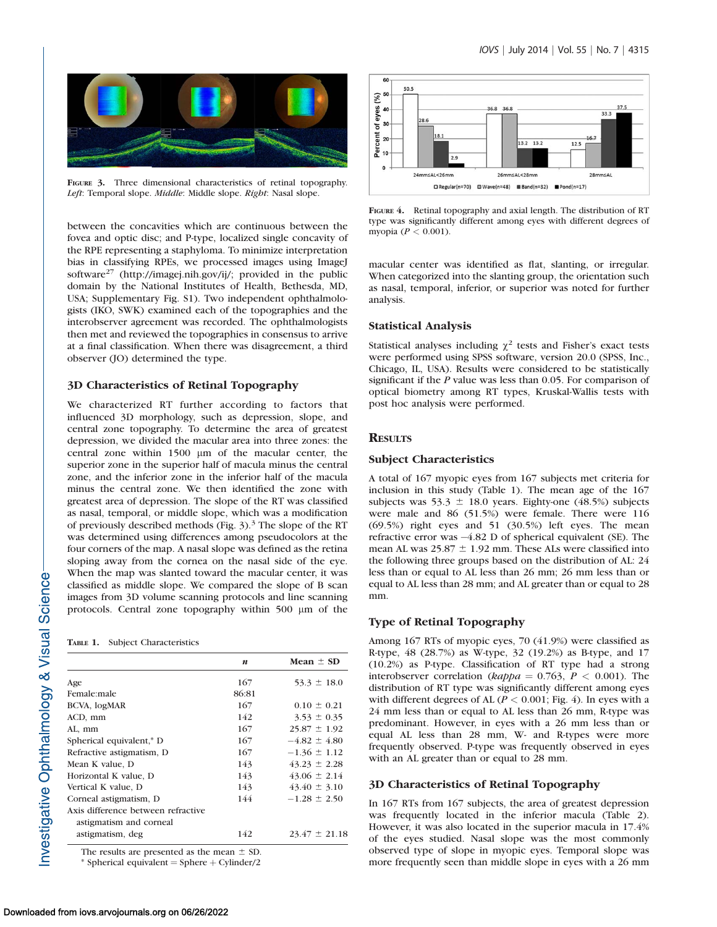

FIGURE 3. Three dimensional characteristics of retinal topography. Left: Temporal slope. Middle: Middle slope. Right: Nasal slope.

between the concavities which are continuous between the fovea and optic disc; and P-type, localized single concavity of the RPE representing a staphyloma. To minimize interpretation bias in classifying RPEs, we processed images using ImageJ software<sup>27</sup> (http://imagej.nih.gov/ij/; provided in the public domain by the National Institutes of Health, Bethesda, MD, USA; [Supplementary Fig. S1\)](http://www.iovs.org/content/55/7/4313/suppl/DC1). Two independent ophthalmologists (IKO, SWK) examined each of the topographies and the interobserver agreement was recorded. The ophthalmologists then met and reviewed the topographies in consensus to arrive at a final classification. When there was disagreement, a third observer (JO) determined the type.

## 3D Characteristics of Retinal Topography

We characterized RT further according to factors that influenced 3D morphology, such as depression, slope, and central zone topography. To determine the area of greatest depression, we divided the macular area into three zones: the central zone within 1500  $\mu$ m of the macular center, the superior zone in the superior half of macula minus the central zone, and the inferior zone in the inferior half of the macula minus the central zone. We then identified the zone with greatest area of depression. The slope of the RT was classified as nasal, temporal, or middle slope, which was a modification of previously described methods (Fig.  $3$ ).<sup>3</sup> The slope of the RT was determined using differences among pseudocolors at the four corners of the map. A nasal slope was defined as the retina sloping away from the cornea on the nasal side of the eye. When the map was slanted toward the macular center, it was classified as middle slope. We compared the slope of B scan images from 3D volume scanning protocols and line scanning protocols. Central zone topography within 500 µm of the

| TABLE 1. |  |  | <b>Subject Characteristics</b> |
|----------|--|--|--------------------------------|
|----------|--|--|--------------------------------|

|                                    | $\boldsymbol{n}$ | Mean $\pm$ SD     |
|------------------------------------|------------------|-------------------|
| Age                                | 167              | $53.3 \pm 18.0$   |
| Female:male                        | 86:81            |                   |
| BCVA, logMAR                       | 167              | $0.10 \pm 0.21$   |
| ACD, mm                            | 142              | $3.53 \pm 0.35$   |
| AL, mm                             | 167              | $25.87 \pm 1.92$  |
| Spherical equivalent,* D           | 167              | $-4.82 \pm 4.80$  |
| Refractive astigmatism, D          | 167              | $-1.36 \pm 1.12$  |
| Mean K value, D                    | 143              | $43.23 \pm 2.28$  |
| Horizontal K value, D              | 143              | $43.06 \pm 2.14$  |
| Vertical K value, D                | 143              | $43.40 \pm 3.10$  |
| Corneal astigmatism, D             | 144              | $-1.28 \pm 2.50$  |
| Axis difference between refractive |                  |                   |
| astigmatism and corneal            |                  |                   |
| astigmatism, deg                   | 142              | $23.47 \pm 21.18$ |
|                                    |                  |                   |

The results are presented as the mean  $\pm$  SD.

 $*$  Spherical equivalent = Sphere  $+$  Cylinder/2



FIGURE 4. Retinal topography and axial length. The distribution of RT type was significantly different among eyes with different degrees of myopia (P < 0.001).

macular center was identified as flat, slanting, or irregular. When categorized into the slanting group, the orientation such as nasal, temporal, inferior, or superior was noted for further analysis.

## Statistical Analysis

Statistical analyses including  $\chi^2$  tests and Fisher's exact tests were performed using SPSS software, version 20.0 (SPSS, Inc., Chicago, IL, USA). Results were considered to be statistically significant if the P value was less than 0.05. For comparison of optical biometry among RT types, Kruskal-Wallis tests with post hoc analysis were performed.

## **RESULTS**

#### Subject Characteristics

A total of 167 myopic eyes from 167 subjects met criteria for inclusion in this study (Table 1). The mean age of the 167 subjects was 53.3  $\pm$  18.0 years. Eighty-one (48.5%) subjects were male and 86 (51.5%) were female. There were 116 (69.5%) right eyes and 51 (30.5%) left eyes. The mean refractive error was -4.82 D of spherical equivalent (SE). The mean AL was  $25.87 \pm 1.92$  mm. These ALs were classified into the following three groups based on the distribution of AL: 24 less than or equal to AL less than 26 mm; 26 mm less than or equal to AL less than 28 mm; and AL greater than or equal to 28 mm.

## Type of Retinal Topography

Among 167 RTs of myopic eyes, 70 (41.9%) were classified as R-type, 48 (28.7%) as W-type, 32 (19.2%) as B-type, and 17 (10.2%) as P-type. Classification of RT type had a strong interobserver correlation (kappa = 0.763,  $P < 0.001$ ). The distribution of RT type was significantly different among eyes with different degrees of AL ( $P < 0.001$ ; Fig. 4). In eyes with a 24 mm less than or equal to AL less than 26 mm, R-type was predominant. However, in eyes with a 26 mm less than or equal AL less than 28 mm, W- and R-types were more frequently observed. P-type was frequently observed in eyes with an AL greater than or equal to 28 mm.

## 3D Characteristics of Retinal Topography

In 167 RTs from 167 subjects, the area of greatest depression was frequently located in the inferior macula (Table 2). However, it was also located in the superior macula in 17.4% of the eyes studied. Nasal slope was the most commonly observed type of slope in myopic eyes. Temporal slope was more frequently seen than middle slope in eyes with a 26 mm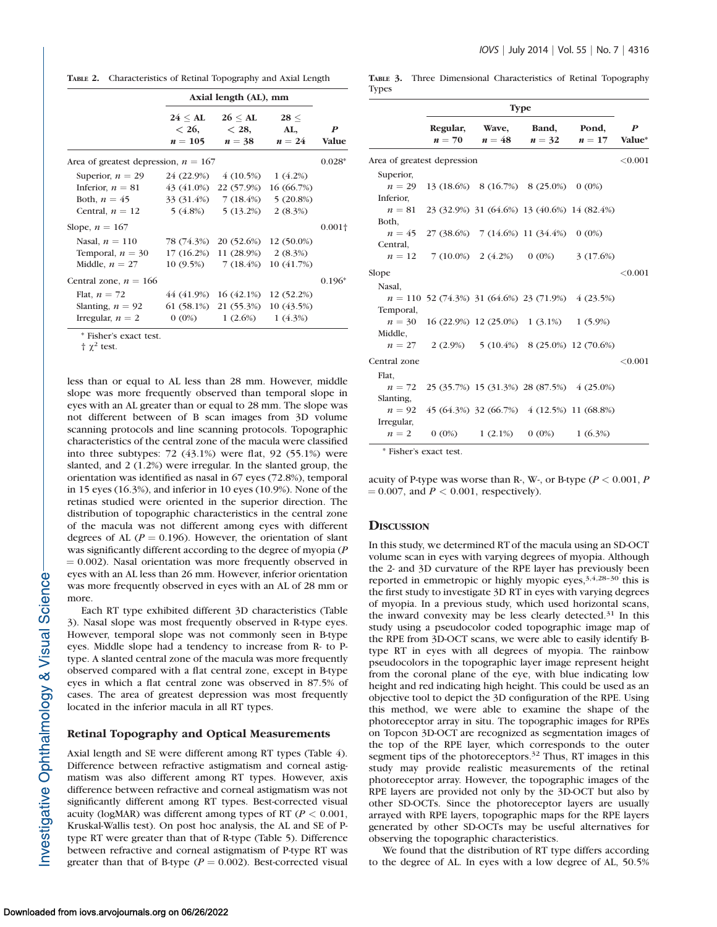TABLE 2. Characteristics of Retinal Topography and Axial Length

|                                        | Axial length (AL), mm                       |                                   |                       |                                  |  |
|----------------------------------------|---------------------------------------------|-----------------------------------|-----------------------|----------------------------------|--|
|                                        | $24 \leq {\rm AL}$<br>$< 26$ ,<br>$n = 105$ | $26 \leq A L$<br>< 28<br>$n = 38$ | 28 <<br>AL,<br>$n=24$ | $\boldsymbol{P}$<br><b>Value</b> |  |
| Area of greatest depression, $n = 167$ |                                             |                                   |                       |                                  |  |
| Superior, $n = 29$                     | 24 (22.9%)                                  | $4(10.5\%)$                       | 1(4.2%)               |                                  |  |
| Inferior, $n = 81$                     | 43 (41.0%)                                  | 22 (57.9%)                        | 16(66.7%)             |                                  |  |
| Both, $n = 45$                         |                                             | $33(31.4\%)$ 7 (18.4%) 5 (20.8%)  |                       |                                  |  |
| Central, $n = 12$                      |                                             | $5(4.8\%)$ $5(13.2\%)$            | $2(8.3\%)$            |                                  |  |
| Slope, $n = 167$                       |                                             |                                   |                       | $0.001\dagger$                   |  |
| Nasal, $n = 110$                       | 78 (74.3%)                                  | 20 (52.6%)                        | 12 (50.0%)            |                                  |  |
| Temporal, $n = 30$                     | 17(16.2%)                                   | $11(28.9\%)$ $2(8.3\%)$           |                       |                                  |  |
| Middle, $n = 27$                       |                                             | $10(9.5\%)$ 7 (18.4%)             | 10(41.7%)             |                                  |  |
| Central zone, $n = 166$                |                                             |                                   |                       | $0.196*$                         |  |
| Flat, $n = 72$                         | 44 (41.9%)                                  | 16(42.1%)                         | 12 (52.2%)            |                                  |  |
| Slanting, $n = 92$                     |                                             | 61 (58.1%) 21 (55.3%)             | 10(43.5%)             |                                  |  |
| Irregular, $n = 2$                     |                                             | $0(0\%)$ $1(2.6\%)$               | 1(4.3%)               |                                  |  |

Fisher's exact test.

 $\uparrow \chi^2$  test.

less than or equal to AL less than 28 mm. However, middle slope was more frequently observed than temporal slope in eyes with an AL greater than or equal to 28 mm. The slope was not different between of B scan images from 3D volume scanning protocols and line scanning protocols. Topographic characteristics of the central zone of the macula were classified into three subtypes: 72 (43.1%) were flat, 92 (55.1%) were slanted, and 2 (1.2%) were irregular. In the slanted group, the orientation was identified as nasal in 67 eyes (72.8%), temporal in 15 eyes (16.3%), and inferior in 10 eyes (10.9%). None of the retinas studied were oriented in the superior direction. The distribution of topographic characteristics in the central zone of the macula was not different among eyes with different degrees of AL ( $P = 0.196$ ). However, the orientation of slant was significantly different according to the degree of myopia (P  $= 0.002$ ). Nasal orientation was more frequently observed in eyes with an AL less than 26 mm. However, inferior orientation was more frequently observed in eyes with an AL of 28 mm or more.

Each RT type exhibited different 3D characteristics (Table 3). Nasal slope was most frequently observed in R-type eyes. However, temporal slope was not commonly seen in B-type eyes. Middle slope had a tendency to increase from R- to Ptype. A slanted central zone of the macula was more frequently observed compared with a flat central zone, except in B-type eyes in which a flat central zone was observed in 87.5% of cases. The area of greatest depression was most frequently located in the inferior macula in all RT types.

#### Retinal Topography and Optical Measurements

Axial length and SE were different among RT types (Table 4). Difference between refractive astigmatism and corneal astigmatism was also different among RT types. However, axis difference between refractive and corneal astigmatism was not significantly different among RT types. Best-corrected visual acuity (logMAR) was different among types of RT ( $P < 0.001$ , Kruskal-Wallis test). On post hoc analysis, the AL and SE of Ptype RT were greater than that of R-type (Table 5). Difference between refractive and corneal astigmatism of P-type RT was greater than that of B-type ( $P = 0.002$ ). Best-corrected visual

TABLE 3. Three Dimensional Characteristics of Retinal Topography Types

| Regular,<br>Band,<br>Pond,<br>Wave,<br>$n=48$<br>$n=70$<br>$n = 32$<br>$n=17$ | $\boldsymbol{P}$<br>Value* |
|-------------------------------------------------------------------------------|----------------------------|
| Area of greatest depression                                                   | < 0.001                    |
| Superior,                                                                     |                            |
| $n = 29$<br>13 (18.6%) 8 (16.7%) 8 (25.0%) 0 (0%)                             |                            |
| Inferior.                                                                     |                            |
| $n=81$<br>23 (32.9%) 31 (64.6%) 13 (40.6%) 14 (82.4%)                         |                            |
| Both,                                                                         |                            |
| $n = 45$ 27 (38.6%) 7 (14.6%) 11 (34.4%) 0 (0%)                               |                            |
| Central,                                                                      |                            |
| $7(10.0\%)$ 2 $(4.2\%)$<br>$0(0\%)$<br>3(17.6%)<br>$n=12$                     |                            |
| Slope                                                                         | < 0.001                    |
| Nasal,                                                                        |                            |
| $n = 110$ 52 (74.3%) 31 (64.6%) 23 (71.9%) 4 (23.5%)                          |                            |
| Temporal,                                                                     |                            |
| $n = 30$<br>$16(22.9\%)$ $12(25.0\%)$ $1(3.1\%)$ $1(5.9\%)$                   |                            |
| Middle,                                                                       |                            |
| $n = 27$ 2 (2.9%) 5 (10.4%) 8 (25.0%) 12 (70.6%)                              |                            |
| Central zone                                                                  | ${<}0.001$                 |
| Flat,                                                                         |                            |
| 25 (35.7%) 15 (31.3%) 28 (87.5%) 4 (25.0%)<br>$n=72$                          |                            |
| Slanting.                                                                     |                            |
| 45 (64.3%) 32 (66.7%) 4 (12.5%) 11 (68.8%)<br>$n=92$                          |                            |
| Irregular,                                                                    |                            |
| $1(6.3\%)$<br>$n=2$<br>$0(0\%)$<br>$1(2.1\%)$<br>$0(0\%)$                     |                            |

\* Fisher's exact test.

acuity of P-type was worse than R-, W-, or B-type ( $P < 0.001$ , P  $= 0.007$ , and  $P < 0.001$ , respectively).

#### **DISCUSSION**

In this study, we determined RT of the macula using an SD-OCT volume scan in eyes with varying degrees of myopia. Although the 2- and 3D curvature of the RPE layer has previously been reported in emmetropic or highly myopic eyes,  $3,4,28-30$  this is the first study to investigate 3D RT in eyes with varying degrees of myopia. In a previous study, which used horizontal scans, the inward convexity may be less clearly detected.<sup>31</sup> In this study using a pseudocolor coded topographic image map of the RPE from 3D-OCT scans, we were able to easily identify Btype RT in eyes with all degrees of myopia. The rainbow pseudocolors in the topographic layer image represent height from the coronal plane of the eye, with blue indicating low height and red indicating high height. This could be used as an objective tool to depict the 3D configuration of the RPE. Using this method, we were able to examine the shape of the photoreceptor array in situ. The topographic images for RPEs on Topcon 3D-OCT are recognized as segmentation images of the top of the RPE layer, which corresponds to the outer segment tips of the photoreceptors.<sup>32</sup> Thus, RT images in this study may provide realistic measurements of the retinal photoreceptor array. However, the topographic images of the RPE layers are provided not only by the 3D-OCT but also by other SD-OCTs. Since the photoreceptor layers are usually arrayed with RPE layers, topographic maps for the RPE layers generated by other SD-OCTs may be useful alternatives for observing the topographic characteristics.

We found that the distribution of RT type differs according to the degree of AL. In eyes with a low degree of AL, 50.5%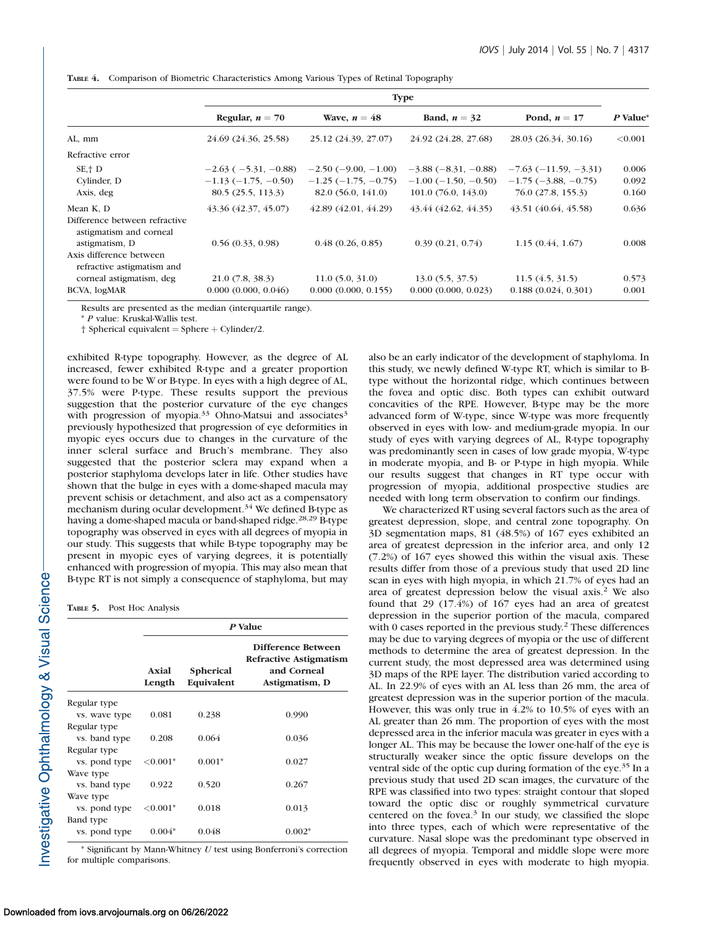|                                                                            | <b>Type</b>                |                       |                               |                        |          |
|----------------------------------------------------------------------------|----------------------------|-----------------------|-------------------------------|------------------------|----------|
|                                                                            | Regular, $n = 70$          | Wave, $n = 48$        | Band, $n = 32$                | Pond, $n = 17$         | P Value* |
| AL, mm                                                                     | 24.69 (24.36, 25.58)       | 25.12 (24.39, 27.07)  | 24.92 (24.28, 27.68)          | 28.03 (26.34, 30.16)   | < 0.001  |
| Refractive error                                                           |                            |                       |                               |                        |          |
| $SE + D$                                                                   | $-2.63$ ( $-5.31, -0.88$ ) | $-2.50(-9.00, -1.00)$ | $-3.88(-8.31, -0.88)$         | $-7.63(-11.59, -3.31)$ | 0.006    |
| Cylinder, D                                                                | $-1.13(-1.75, -0.50)$      | $-1.25(-1.75, -0.75)$ | $-1.00$ ( $-1.50$ , $-0.50$ ) | $-1.75(-3.88, -0.75)$  | 0.092    |
| Axis, deg                                                                  | 80.5(25.5, 113.3)          | 82.0 (56.0, 141.0)    | 101.0(76.0, 143.0)            | 76.0 (27.8, 155.3)     | 0.160    |
| Mean K, D                                                                  | 43.36 (42.37, 45.07)       | 42.89 (42.01, 44.29)  | 43.44 (42.62, 44.35)          | 43.51 (40.64, 45.58)   | 0.636    |
| Difference between refractive<br>astigmatism and corneal<br>astigmatism, D | 0.56(0.33, 0.98)           | 0.48(0.26, 0.85)      | 0.39(0.21, 0.74)              | 1.15(0.44, 1.67)       | 0.008    |
| Axis difference between<br>refractive astigmatism and                      |                            |                       |                               |                        |          |
| corneal astigmatism, deg                                                   | $21.0$ (7.8, 38.3)         | 11.0(5.0, 31.0)       | 13.0(5.5, 37.5)               | 11.5(4.5, 31.5)        | 0.573    |
| BCVA, logMAR                                                               | 0.000(0.000, 0.046)        | 0.000(0.000, 0.155)   | 0.000(0.000, 0.023)           | 0.188(0.024, 0.301)    | 0.001    |

TABLE 4. Comparison of Biometric Characteristics Among Various Types of Retinal Topography

Results are presented as the median (interquartile range).

\* P value: Kruskal-Wallis test.

 $\dagger$  Spherical equivalent = Sphere  $+$  Cylinder/2.

exhibited R-type topography. However, as the degree of AL increased, fewer exhibited R-type and a greater proportion were found to be W or B-type. In eyes with a high degree of AL, 37.5% were P-type. These results support the previous suggestion that the posterior curvature of the eye changes with progression of myopia.<sup>33</sup> Ohno-Matsui and associates<sup>3</sup> previously hypothesized that progression of eye deformities in myopic eyes occurs due to changes in the curvature of the inner scleral surface and Bruch's membrane. They also suggested that the posterior sclera may expand when a posterior staphyloma develops later in life. Other studies have shown that the bulge in eyes with a dome-shaped macula may prevent schisis or detachment, and also act as a compensatory mechanism during ocular development.<sup>34</sup> We defined B-type as having a dome-shaped macula or band-shaped ridge.<sup>28,29</sup> B-type topography was observed in eyes with all degrees of myopia in our study. This suggests that while B-type topography may be present in myopic eyes of varying degrees, it is potentially enhanced with progression of myopia. This may also mean that B-type RT is not simply a consequence of staphyloma, but may

TABLE 5. Post Hoc Analysis

|               | P Value         |                                |                                                                               |  |
|---------------|-----------------|--------------------------------|-------------------------------------------------------------------------------|--|
|               | Axial<br>Length | <b>Spherical</b><br>Equivalent | Difference Between<br>Refractive Astigmatism<br>and Corneal<br>Astigmatism, D |  |
| Regular type  |                 |                                |                                                                               |  |
| vs. wave type | 0.081           | 0.238                          | 0.990                                                                         |  |
| Regular type  |                 |                                |                                                                               |  |
| vs. band type | 0.208           | 0.064                          | 0.036                                                                         |  |
| Regular type  |                 |                                |                                                                               |  |
| vs. pond type | ${<}0.001*$     | $0.001*$                       | 0.027                                                                         |  |
| Wave type     |                 |                                |                                                                               |  |
| vs. band type | 0.922           | 0.520                          | 0.267                                                                         |  |
| Wave type     |                 |                                |                                                                               |  |
| vs. pond type | ${<}0.001*$     | 0.018                          | 0.013                                                                         |  |
| Band type     |                 |                                |                                                                               |  |
| vs. pond type | $0.004*$        | 0.048                          | $0.002*$                                                                      |  |

 $*$  Significant by Mann-Whitney  $U$  test using Bonferroni's correction for multiple comparisons.

also be an early indicator of the development of staphyloma. In this study, we newly defined W-type RT, which is similar to Btype without the horizontal ridge, which continues between the fovea and optic disc. Both types can exhibit outward concavities of the RPE. However, B-type may be the more advanced form of W-type, since W-type was more frequently observed in eyes with low- and medium-grade myopia. In our study of eyes with varying degrees of AL, R-type topography was predominantly seen in cases of low grade myopia, W-type in moderate myopia, and B- or P-type in high myopia. While our results suggest that changes in RT type occur with progression of myopia, additional prospective studies are needed with long term observation to confirm our findings.

We characterized RT using several factors such as the area of greatest depression, slope, and central zone topography. On 3D segmentation maps, 81 (48.5%) of 167 eyes exhibited an area of greatest depression in the inferior area, and only 12 (7.2%) of 167 eyes showed this within the visual axis. These results differ from those of a previous study that used 2D line scan in eyes with high myopia, in which 21.7% of eyes had an area of greatest depression below the visual axis.<sup>2</sup> We also found that 29 (17.4%) of 167 eyes had an area of greatest depression in the superior portion of the macula, compared with 0 cases reported in the previous study.<sup>2</sup> These differences may be due to varying degrees of myopia or the use of different methods to determine the area of greatest depression. In the current study, the most depressed area was determined using 3D maps of the RPE layer. The distribution varied according to AL. In 22.9% of eyes with an AL less than 26 mm, the area of greatest depression was in the superior portion of the macula. However, this was only true in 4.2% to 10.5% of eyes with an AL greater than 26 mm. The proportion of eyes with the most depressed area in the inferior macula was greater in eyes with a longer AL. This may be because the lower one-half of the eye is structurally weaker since the optic fissure develops on the ventral side of the optic cup during formation of the eye.<sup>35</sup> In a previous study that used 2D scan images, the curvature of the RPE was classified into two types: straight contour that sloped toward the optic disc or roughly symmetrical curvature centered on the fovea. $3$  In our study, we classified the slope into three types, each of which were representative of the curvature. Nasal slope was the predominant type observed in all degrees of myopia. Temporal and middle slope were more frequently observed in eyes with moderate to high myopia.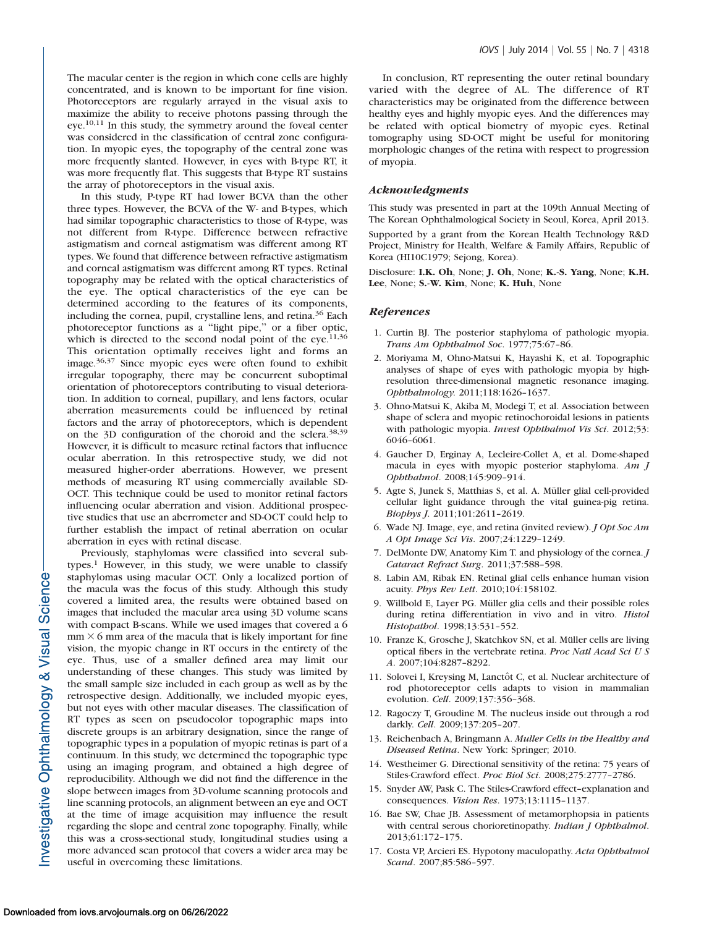The macular center is the region in which cone cells are highly concentrated, and is known to be important for fine vision. Photoreceptors are regularly arrayed in the visual axis to maximize the ability to receive photons passing through the eye.<sup>10,11</sup> In this study, the symmetry around the foveal center was considered in the classification of central zone configuration. In myopic eyes, the topography of the central zone was more frequently slanted. However, in eyes with B-type RT, it was more frequently flat. This suggests that B-type RT sustains the array of photoreceptors in the visual axis.

In this study, P-type RT had lower BCVA than the other three types. However, the BCVA of the W- and B-types, which had similar topographic characteristics to those of R-type, was not different from R-type. Difference between refractive astigmatism and corneal astigmatism was different among RT types. We found that difference between refractive astigmatism and corneal astigmatism was different among RT types. Retinal topography may be related with the optical characteristics of the eye. The optical characteristics of the eye can be determined according to the features of its components, including the cornea, pupil, crystalline lens, and retina.<sup>36</sup> Each photoreceptor functions as a ''light pipe,'' or a fiber optic, which is directed to the second nodal point of the eye.<sup>11,36</sup> This orientation optimally receives light and forms an image.36,37 Since myopic eyes were often found to exhibit irregular topography, there may be concurrent suboptimal orientation of photoreceptors contributing to visual deterioration. In addition to corneal, pupillary, and lens factors, ocular aberration measurements could be influenced by retinal factors and the array of photoreceptors, which is dependent on the 3D configuration of the choroid and the sclera.<sup>38,39</sup> However, it is difficult to measure retinal factors that influence ocular aberration. In this retrospective study, we did not measured higher-order aberrations. However, we present methods of measuring RT using commercially available SD-OCT. This technique could be used to monitor retinal factors influencing ocular aberration and vision. Additional prospective studies that use an aberrometer and SD-OCT could help to further establish the impact of retinal aberration on ocular aberration in eyes with retinal disease.

Previously, staphylomas were classified into several sub $types<sup>1</sup>$  However, in this study, we were unable to classify staphylomas using macular OCT. Only a localized portion of the macula was the focus of this study. Although this study covered a limited area, the results were obtained based on images that included the macular area using 3D volume scans with compact B-scans. While we used images that covered a 6  $mm \times 6 mm$  area of the macula that is likely important for fine vision, the myopic change in RT occurs in the entirety of the eye. Thus, use of a smaller defined area may limit our understanding of these changes. This study was limited by the small sample size included in each group as well as by the retrospective design. Additionally, we included myopic eyes, but not eyes with other macular diseases. The classification of RT types as seen on pseudocolor topographic maps into discrete groups is an arbitrary designation, since the range of topographic types in a population of myopic retinas is part of a continuum. In this study, we determined the topographic type using an imaging program, and obtained a high degree of reproducibility. Although we did not find the difference in the slope between images from 3D-volume scanning protocols and line scanning protocols, an alignment between an eye and OCT at the time of image acquisition may influence the result regarding the slope and central zone topography. Finally, while this was a cross-sectional study, longitudinal studies using a more advanced scan protocol that covers a wider area may be useful in overcoming these limitations.

In conclusion, RT representing the outer retinal boundary varied with the degree of AL. The difference of RT characteristics may be originated from the difference between healthy eyes and highly myopic eyes. And the differences may be related with optical biometry of myopic eyes. Retinal tomography using SD-OCT might be useful for monitoring morphologic changes of the retina with respect to progression of myopia.

#### Acknowledgments

This study was presented in part at the 109th Annual Meeting of The Korean Ophthalmological Society in Seoul, Korea, April 2013.

Supported by a grant from the Korean Health Technology R&D Project, Ministry for Health, Welfare & Family Affairs, Republic of Korea (HI10C1979; Sejong, Korea).

Disclosure: I.K. Oh, None; J. Oh, None; K.-S. Yang, None; K.H. Lee, None; S.-W. Kim, None; K. Huh, None

### References

- 1. Curtin BJ. The posterior staphyloma of pathologic myopia. Trans Am Ophthalmol Soc. 1977;75:67–86.
- 2. Moriyama M, Ohno-Matsui K, Hayashi K, et al. Topographic analyses of shape of eyes with pathologic myopia by highresolution three-dimensional magnetic resonance imaging. Ophthalmology. 2011;118:1626–1637.
- 3. Ohno-Matsui K, Akiba M, Modegi T, et al. Association between shape of sclera and myopic retinochoroidal lesions in patients with pathologic myopia. Invest Ophthalmol Vis Sci. 2012;53: 6046–6061.
- 4. Gaucher D, Erginay A, Lecleire-Collet A, et al. Dome-shaped macula in eyes with myopic posterior staphyloma. Am J Ophthalmol. 2008;145:909–914.
- 5. Agte S, Junek S, Matthias S, et al. A. Müller glial cell-provided cellular light guidance through the vital guinea-pig retina. Biophys J. 2011;101:2611–2619.
- 6. Wade NJ. Image, eye, and retina (invited review). J Opt Soc Am A Opt Image Sci Vis. 2007;24:1229–1249.
- 7. DelMonte DW, Anatomy Kim T. and physiology of the cornea. J Cataract Refract Surg. 2011;37:588–598.
- 8. Labin AM, Ribak EN. Retinal glial cells enhance human vision acuity. Phys Rev Lett. 2010;104:158102.
- 9. Willbold E, Layer PG. Müller glia cells and their possible roles during retina differentiation in vivo and in vitro. Histol Histopathol. 1998;13:531–552.
- 10. Franze K, Grosche J, Skatchkov SN, et al. Müller cells are living optical fibers in the vertebrate retina. Proc Natl Acad Sci U S A. 2007;104:8287–8292.
- 11. Solovei I, Kreysing M, Lanctôt C, et al. Nuclear architecture of rod photoreceptor cells adapts to vision in mammalian evolution. Cell. 2009;137:356–368.
- 12. Ragoczy T, Groudine M. The nucleus inside out through a rod darkly. Cell. 2009;137:205–207.
- 13. Reichenbach A, Bringmann A. Muller Cells in the Healthy and Diseased Retina. New York: Springer; 2010.
- 14. Westheimer G. Directional sensitivity of the retina: 75 years of Stiles-Crawford effect. Proc Biol Sci. 2008;275:2777–2786.
- 15. Snyder AW, Pask C. The Stiles-Crawford effect–explanation and consequences. Vision Res. 1973;13:1115–1137.
- 16. Bae SW, Chae JB. Assessment of metamorphopsia in patients with central serous chorioretinopathy. Indian J Ophthalmol. 2013;61:172–175.
- 17. Costa VP, Arcieri ES. Hypotony maculopathy. Acta Ophthalmol Scand. 2007;85:586–597.